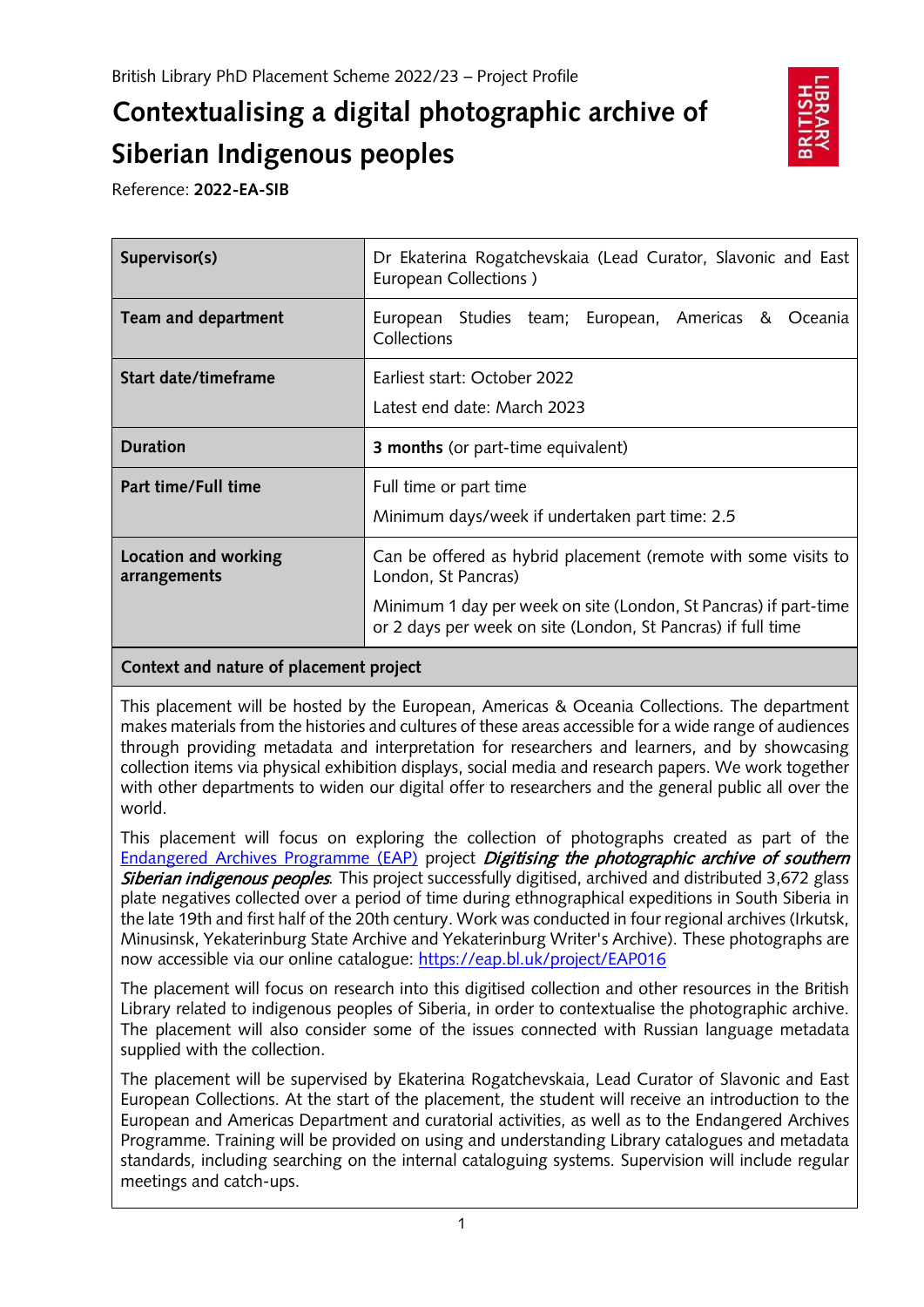# **Contextualising a digital photographic archive of Siberian Indigenous peoples**



Reference: **2022-EA-SIB**

| Supervisor(s)                        | Dr Ekaterina Rogatchevskaia (Lead Curator, Slavonic and East<br>European Collections)                                                                                                                                     |
|--------------------------------------|---------------------------------------------------------------------------------------------------------------------------------------------------------------------------------------------------------------------------|
| <b>Team and department</b>           | European Studies team; European, Americas & Oceania<br>Collections                                                                                                                                                        |
| Start date/timeframe                 | Earliest start: October 2022<br>Latest end date: March 2023                                                                                                                                                               |
| <b>Duration</b>                      | <b>3 months</b> (or part-time equivalent)                                                                                                                                                                                 |
| Part time/Full time                  | Full time or part time<br>Minimum days/week if undertaken part time: 2.5                                                                                                                                                  |
| Location and working<br>arrangements | Can be offered as hybrid placement (remote with some visits to<br>London, St Pancras)<br>Minimum 1 day per week on site (London, St Pancras) if part-time<br>or 2 days per week on site (London, St Pancras) if full time |

## **Context and nature of placement project**

This placement will be hosted by the European, Americas & Oceania Collections. The department makes materials from the histories and cultures of these areas accessible for a wide range of audiences through providing metadata and interpretation for researchers and learners, and by showcasing collection items via physical exhibition displays, social media and research papers. We work together with other departments to widen our digital offer to researchers and the general public all over the world.

This placement will focus on exploring the collection of photographs created as part of the [Endangered Archives Programme \(EAP\)](https://eap.bl.uk/) project *Digitising the photographic archive of southern* Siberian indigenous peoples*.* This project successfully digitised, archived and distributed 3,672 glass plate negatives collected over a period of time during ethnographical expeditions in South Siberia in the late 19th and first half of the 20th century. Work was conducted in four regional archives (Irkutsk, Minusinsk, Yekaterinburg State Archive and Yekaterinburg Writer's Archive). These photographs are now accessible via our online catalogue:<https://eap.bl.uk/project/EAP016>

The placement will focus on research into this digitised collection and other resources in the British Library related to indigenous peoples of Siberia, in order to contextualise the photographic archive. The placement will also consider some of the issues connected with Russian language metadata supplied with the collection.

The placement will be supervised by Ekaterina Rogatchevskaia, Lead Curator of Slavonic and East European Collections. At the start of the placement, the student will receive an introduction to the European and Americas Department and curatorial activities, as well as to the Endangered Archives Programme. Training will be provided on using and understanding Library catalogues and metadata standards, including searching on the internal cataloguing systems. Supervision will include regular meetings and catch-ups.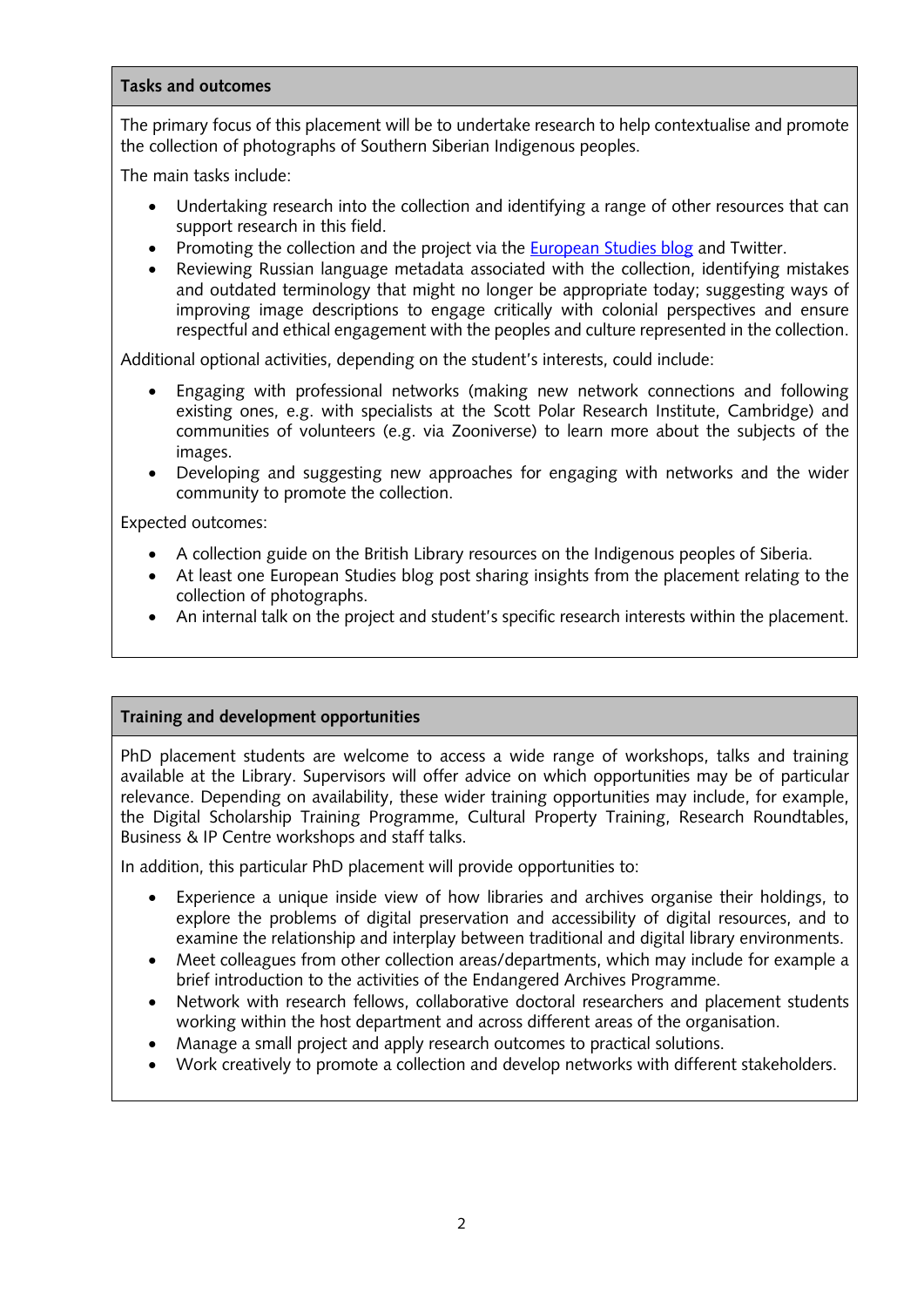#### **Tasks and outcomes**

The primary focus of this placement will be to undertake research to help contextualise and promote the collection of photographs of Southern Siberian Indigenous peoples.

The main tasks include:

- Undertaking research into the collection and identifying a range of other resources that can support research in this field.
- Promoting the collection and the project via the [European Studies blog](https://blogs.bl.uk/european/) and Twitter.
- Reviewing Russian language metadata associated with the collection, identifying mistakes and outdated terminology that might no longer be appropriate today; suggesting ways of improving image descriptions to engage critically with colonial perspectives and ensure respectful and ethical engagement with the peoples and culture represented in the collection.

Additional optional activities, depending on the student's interests, could include:

- Engaging with professional networks (making new network connections and following existing ones, e.g. with specialists at the Scott Polar Research Institute, Cambridge) and communities of volunteers (e.g. via Zooniverse) to learn more about the subjects of the images.
- Developing and suggesting new approaches for engaging with networks and the wider community to promote the collection.

Expected outcomes:

- A collection guide on the British Library resources on the Indigenous peoples of Siberia.
- At least one European Studies blog post sharing insights from the placement relating to the collection of photographs.
- An internal talk on the project and student's specific research interests within the placement.

#### **Training and development opportunities**

PhD placement students are welcome to access a wide range of workshops, talks and training available at the Library. Supervisors will offer advice on which opportunities may be of particular relevance. Depending on availability, these wider training opportunities may include, for example, the Digital Scholarship Training Programme, Cultural Property Training, Research Roundtables, Business & IP Centre workshops and staff talks.

In addition, this particular PhD placement will provide opportunities to:

- Experience a unique inside view of how libraries and archives organise their holdings, to explore the problems of digital preservation and accessibility of digital resources, and to examine the relationship and interplay between traditional and digital library environments.
- Meet colleagues from other collection areas/departments, which may include for example a brief introduction to the activities of the Endangered Archives Programme.
- Network with research fellows, collaborative doctoral researchers and placement students working within the host department and across different areas of the organisation.
- Manage a small project and apply research outcomes to practical solutions.
- Work creatively to promote a collection and develop networks with different stakeholders.